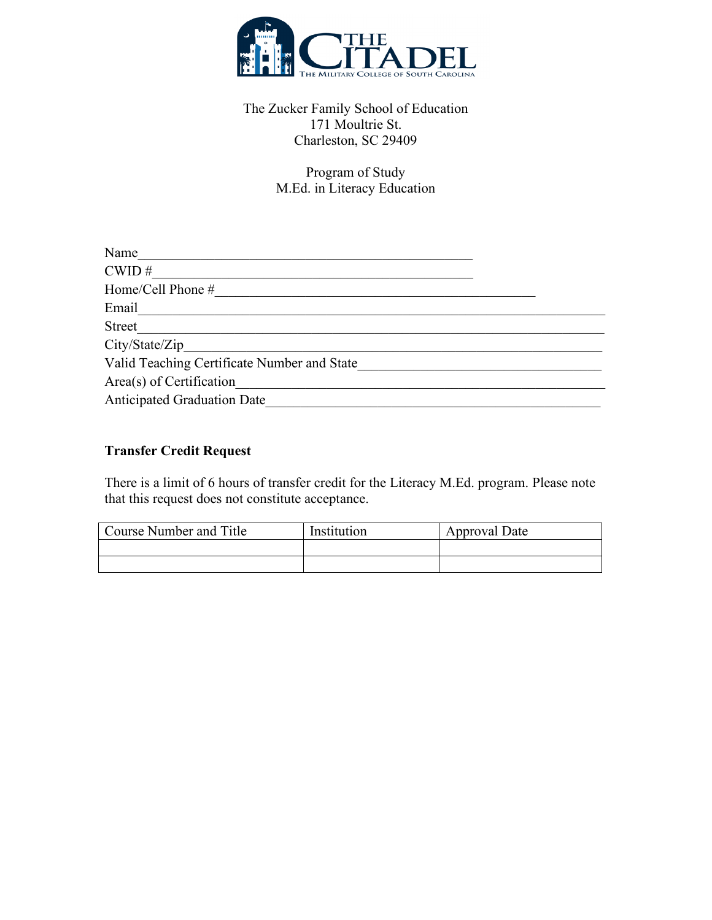

## The Zucker Family School of Education 171 Moultrie St. Charleston, SC 29409

Program of Study M.Ed. in Literacy Education

| Name                                        |  |
|---------------------------------------------|--|
| CWD#                                        |  |
| Home/Cell Phone #                           |  |
| Email                                       |  |
| Street                                      |  |
| City/State/Zip                              |  |
| Valid Teaching Certificate Number and State |  |
| Area(s) of Certification                    |  |
| <b>Anticipated Graduation Date</b>          |  |

## **Transfer Credit Request**

There is a limit of 6 hours of transfer credit for the Literacy M.Ed. program. Please note that this request does not constitute acceptance.

| Course Number and Title | Institution | Approval Date |
|-------------------------|-------------|---------------|
|                         |             |               |
|                         |             |               |